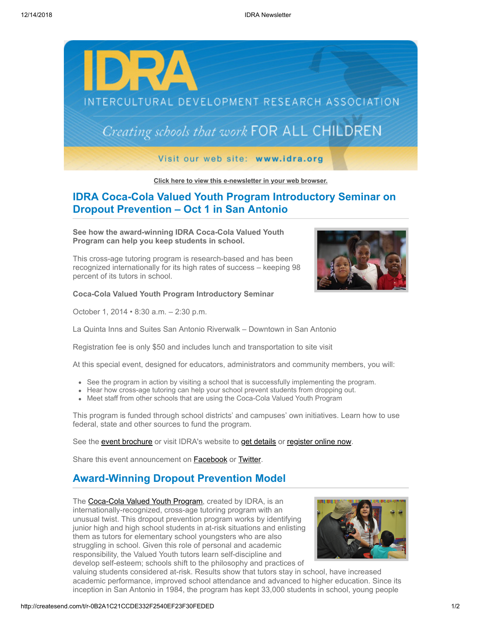

**[Click here to view this e-newsletter in your web browser.](http://newsletter.impulsedevelopment.com/t/r-e-mdhlrht-l-r/)**

## **IDRA Coca-Cola Valued Youth Program Introductory Seminar on Dropout Prevention – Oct 1 in San Antonio**

**See how the award-winning IDRA Coca-Cola Valued Youth Program can help you keep students in school.**

This cross-age tutoring program is research-based and has been recognized internationally for its high rates of success – keeping 98 percent of its tutors in school.

**Coca-Cola Valued Youth Program Introductory Seminar**

October 1, 2014 • 8:30 a.m. – 2:30 p.m.



La Quinta Inns and Suites San Antonio Riverwalk – Downtown in San Antonio

Registration fee is only \$50 and includes lunch and transportation to site visit

At this special event, designed for educators, administrators and community members, you will:

- See the program in action by visiting a school that is successfully implementing the program.
- Hear how cross-age tutoring can help your school prevent students from dropping out.
- Meet staff from other schools that are using the Coca-Cola Valued Youth Program

This program is funded through school districts' and campuses' own initiatives. Learn how to use federal, state and other sources to fund the program.

See the [event brochure](http://idra.createsend1.com/t/r-l-mdhlrht-l-i/) or visit IDRA's website to [get details](http://idra.createsend1.com/t/r-l-mdhlrht-l-d/) or [register online now.](http://idra.createsend1.com/t/r-l-mdhlrht-l-o/)

Share this event announcement on **Facebook** or **[Twitter](http://idra.createsend1.com/t/r-tw-mdhlrht-l-f/)**.

## **Award-Winning Dropout Prevention Model**

The [Coca-Cola Valued Youth Program](http://idra.createsend1.com/t/r-l-mdhlrht-l-b/), created by IDRA, is an internationally-recognized, cross-age tutoring program with an unusual twist. This dropout prevention program works by identifying junior high and high school students in at-risk situations and enlisting them as tutors for elementary school youngsters who are also struggling in school. Given this role of personal and academic responsibility, the Valued Youth tutors learn self-discipline and develop self-esteem; schools shift to the philosophy and practices of



valuing students considered at-risk. Results show that tutors stay in school, have increased academic performance, improved school attendance and advanced to higher education. Since its inception in San Antonio in 1984, the program has kept 33,000 students in school, young people